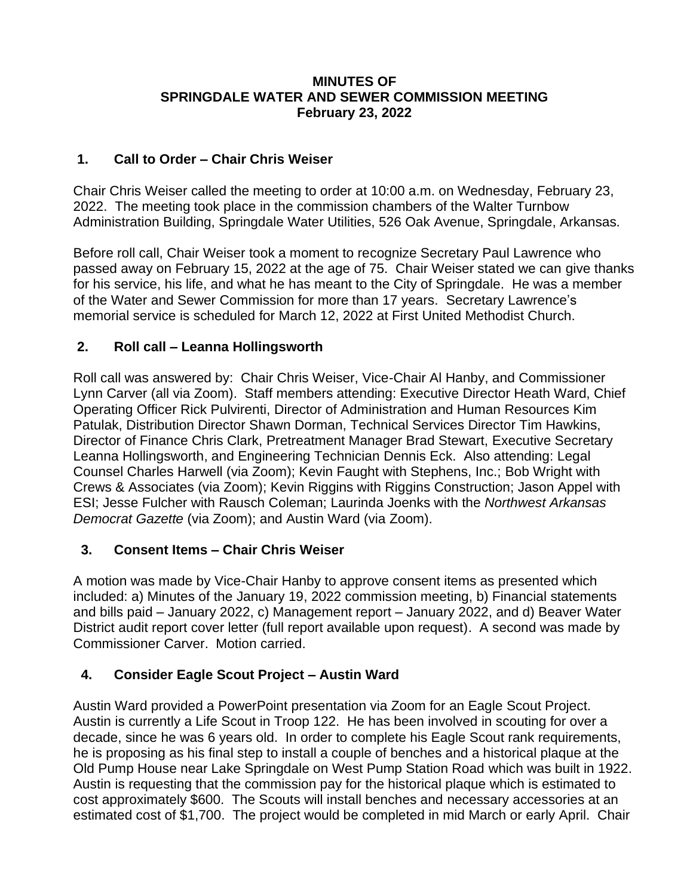#### **MINUTES OF SPRINGDALE WATER AND SEWER COMMISSION MEETING February 23, 2022**

### **1. Call to Order – Chair Chris Weiser**

Chair Chris Weiser called the meeting to order at 10:00 a.m. on Wednesday, February 23, 2022. The meeting took place in the commission chambers of the Walter Turnbow Administration Building, Springdale Water Utilities, 526 Oak Avenue, Springdale, Arkansas.

Before roll call, Chair Weiser took a moment to recognize Secretary Paul Lawrence who passed away on February 15, 2022 at the age of 75. Chair Weiser stated we can give thanks for his service, his life, and what he has meant to the City of Springdale. He was a member of the Water and Sewer Commission for more than 17 years. Secretary Lawrence's memorial service is scheduled for March 12, 2022 at First United Methodist Church.

# **2. Roll call – Leanna Hollingsworth**

Roll call was answered by: Chair Chris Weiser, Vice-Chair Al Hanby, and Commissioner Lynn Carver (all via Zoom). Staff members attending: Executive Director Heath Ward, Chief Operating Officer Rick Pulvirenti, Director of Administration and Human Resources Kim Patulak, Distribution Director Shawn Dorman, Technical Services Director Tim Hawkins, Director of Finance Chris Clark, Pretreatment Manager Brad Stewart, Executive Secretary Leanna Hollingsworth, and Engineering Technician Dennis Eck. Also attending: Legal Counsel Charles Harwell (via Zoom); Kevin Faught with Stephens, Inc.; Bob Wright with Crews & Associates (via Zoom); Kevin Riggins with Riggins Construction; Jason Appel with ESI; Jesse Fulcher with Rausch Coleman; Laurinda Joenks with the *Northwest Arkansas Democrat Gazette* (via Zoom); and Austin Ward (via Zoom).

#### **3. Consent Items – Chair Chris Weiser**

A motion was made by Vice-Chair Hanby to approve consent items as presented which included: a) Minutes of the January 19, 2022 commission meeting, b) Financial statements and bills paid – January 2022, c) Management report – January 2022, and d) Beaver Water District audit report cover letter (full report available upon request). A second was made by Commissioner Carver. Motion carried.

# **4. Consider Eagle Scout Project – Austin Ward**

Austin Ward provided a PowerPoint presentation via Zoom for an Eagle Scout Project. Austin is currently a Life Scout in Troop 122. He has been involved in scouting for over a decade, since he was 6 years old. In order to complete his Eagle Scout rank requirements, he is proposing as his final step to install a couple of benches and a historical plaque at the Old Pump House near Lake Springdale on West Pump Station Road which was built in 1922. Austin is requesting that the commission pay for the historical plaque which is estimated to cost approximately \$600. The Scouts will install benches and necessary accessories at an estimated cost of \$1,700. The project would be completed in mid March or early April. Chair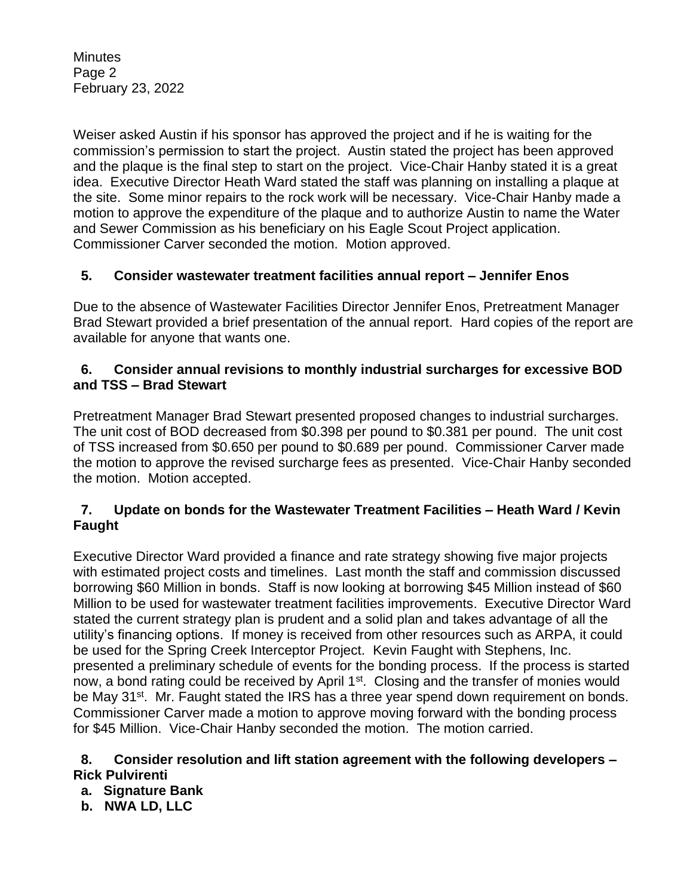**Minutes** Page 2 February 23, 2022

Weiser asked Austin if his sponsor has approved the project and if he is waiting for the commission's permission to start the project. Austin stated the project has been approved and the plaque is the final step to start on the project. Vice-Chair Hanby stated it is a great idea. Executive Director Heath Ward stated the staff was planning on installing a plaque at the site. Some minor repairs to the rock work will be necessary. Vice-Chair Hanby made a motion to approve the expenditure of the plaque and to authorize Austin to name the Water and Sewer Commission as his beneficiary on his Eagle Scout Project application. Commissioner Carver seconded the motion. Motion approved.

# **5. Consider wastewater treatment facilities annual report – Jennifer Enos**

Due to the absence of Wastewater Facilities Director Jennifer Enos, Pretreatment Manager Brad Stewart provided a brief presentation of the annual report. Hard copies of the report are available for anyone that wants one.

#### **6. Consider annual revisions to monthly industrial surcharges for excessive BOD and TSS – Brad Stewart**

Pretreatment Manager Brad Stewart presented proposed changes to industrial surcharges. The unit cost of BOD decreased from \$0.398 per pound to \$0.381 per pound. The unit cost of TSS increased from \$0.650 per pound to \$0.689 per pound. Commissioner Carver made the motion to approve the revised surcharge fees as presented. Vice-Chair Hanby seconded the motion. Motion accepted.

#### **7. Update on bonds for the Wastewater Treatment Facilities – Heath Ward / Kevin Faught**

Executive Director Ward provided a finance and rate strategy showing five major projects with estimated project costs and timelines. Last month the staff and commission discussed borrowing \$60 Million in bonds. Staff is now looking at borrowing \$45 Million instead of \$60 Million to be used for wastewater treatment facilities improvements. Executive Director Ward stated the current strategy plan is prudent and a solid plan and takes advantage of all the utility's financing options. If money is received from other resources such as ARPA, it could be used for the Spring Creek Interceptor Project. Kevin Faught with Stephens, Inc. presented a preliminary schedule of events for the bonding process. If the process is started now, a bond rating could be received by April 1<sup>st</sup>. Closing and the transfer of monies would be May 31<sup>st</sup>. Mr. Faught stated the IRS has a three year spend down requirement on bonds. Commissioner Carver made a motion to approve moving forward with the bonding process for \$45 Million. Vice-Chair Hanby seconded the motion. The motion carried.

#### **8. Consider resolution and lift station agreement with the following developers – Rick Pulvirenti**

 **a. Signature Bank**

 **b. NWA LD, LLC**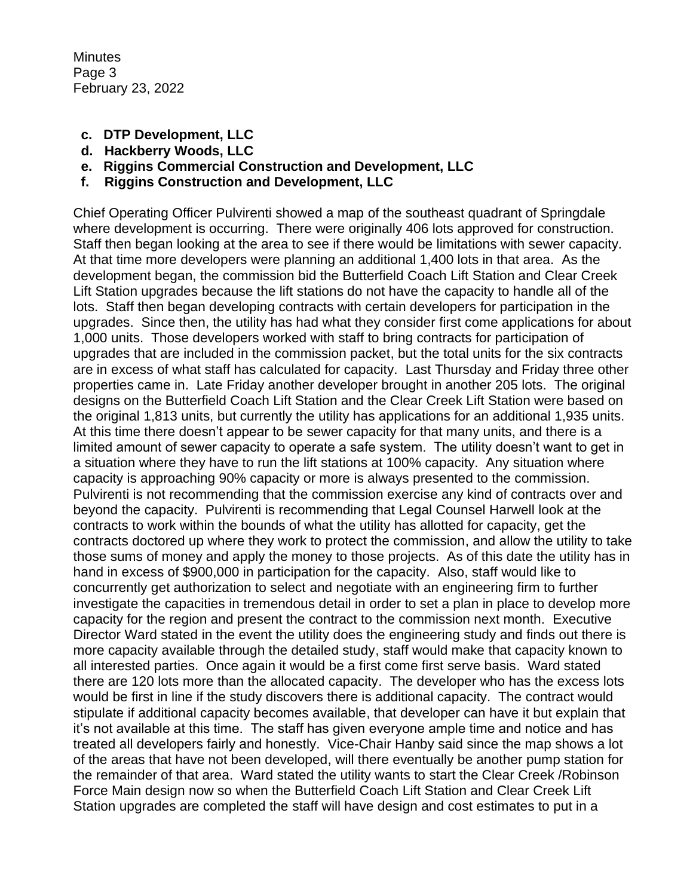**Minutes** Page 3 February 23, 2022

- **c. DTP Development, LLC**
- **d. Hackberry Woods, LLC**
- **e. Riggins Commercial Construction and Development, LLC**
- **f. Riggins Construction and Development, LLC**

Chief Operating Officer Pulvirenti showed a map of the southeast quadrant of Springdale where development is occurring. There were originally 406 lots approved for construction. Staff then began looking at the area to see if there would be limitations with sewer capacity. At that time more developers were planning an additional 1,400 lots in that area. As the development began, the commission bid the Butterfield Coach Lift Station and Clear Creek Lift Station upgrades because the lift stations do not have the capacity to handle all of the lots. Staff then began developing contracts with certain developers for participation in the upgrades. Since then, the utility has had what they consider first come applications for about 1,000 units. Those developers worked with staff to bring contracts for participation of upgrades that are included in the commission packet, but the total units for the six contracts are in excess of what staff has calculated for capacity. Last Thursday and Friday three other properties came in. Late Friday another developer brought in another 205 lots. The original designs on the Butterfield Coach Lift Station and the Clear Creek Lift Station were based on the original 1,813 units, but currently the utility has applications for an additional 1,935 units. At this time there doesn't appear to be sewer capacity for that many units, and there is a limited amount of sewer capacity to operate a safe system. The utility doesn't want to get in a situation where they have to run the lift stations at 100% capacity. Any situation where capacity is approaching 90% capacity or more is always presented to the commission. Pulvirenti is not recommending that the commission exercise any kind of contracts over and beyond the capacity. Pulvirenti is recommending that Legal Counsel Harwell look at the contracts to work within the bounds of what the utility has allotted for capacity, get the contracts doctored up where they work to protect the commission, and allow the utility to take those sums of money and apply the money to those projects. As of this date the utility has in hand in excess of \$900,000 in participation for the capacity. Also, staff would like to concurrently get authorization to select and negotiate with an engineering firm to further investigate the capacities in tremendous detail in order to set a plan in place to develop more capacity for the region and present the contract to the commission next month. Executive Director Ward stated in the event the utility does the engineering study and finds out there is more capacity available through the detailed study, staff would make that capacity known to all interested parties. Once again it would be a first come first serve basis. Ward stated there are 120 lots more than the allocated capacity. The developer who has the excess lots would be first in line if the study discovers there is additional capacity. The contract would stipulate if additional capacity becomes available, that developer can have it but explain that it's not available at this time. The staff has given everyone ample time and notice and has treated all developers fairly and honestly. Vice-Chair Hanby said since the map shows a lot of the areas that have not been developed, will there eventually be another pump station for the remainder of that area. Ward stated the utility wants to start the Clear Creek /Robinson Force Main design now so when the Butterfield Coach Lift Station and Clear Creek Lift Station upgrades are completed the staff will have design and cost estimates to put in a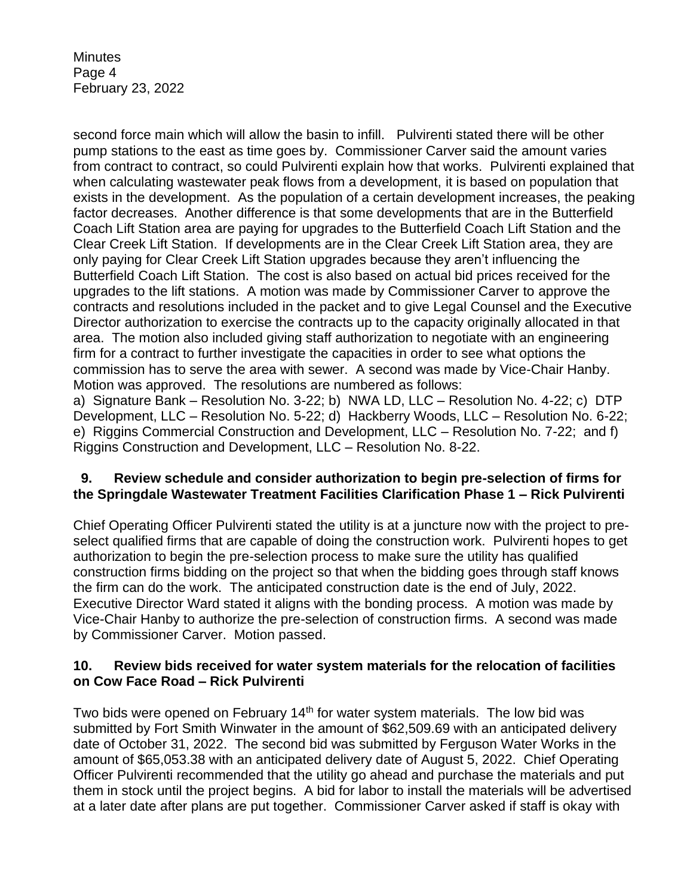**Minutes** Page 4 February 23, 2022

second force main which will allow the basin to infill. Pulvirenti stated there will be other pump stations to the east as time goes by. Commissioner Carver said the amount varies from contract to contract, so could Pulvirenti explain how that works. Pulvirenti explained that when calculating wastewater peak flows from a development, it is based on population that exists in the development. As the population of a certain development increases, the peaking factor decreases. Another difference is that some developments that are in the Butterfield Coach Lift Station area are paying for upgrades to the Butterfield Coach Lift Station and the Clear Creek Lift Station. If developments are in the Clear Creek Lift Station area, they are only paying for Clear Creek Lift Station upgrades because they aren't influencing the Butterfield Coach Lift Station. The cost is also based on actual bid prices received for the upgrades to the lift stations. A motion was made by Commissioner Carver to approve the contracts and resolutions included in the packet and to give Legal Counsel and the Executive Director authorization to exercise the contracts up to the capacity originally allocated in that area. The motion also included giving staff authorization to negotiate with an engineering firm for a contract to further investigate the capacities in order to see what options the commission has to serve the area with sewer. A second was made by Vice-Chair Hanby. Motion was approved. The resolutions are numbered as follows:

a) Signature Bank – Resolution No. 3-22; b) NWA LD, LLC – Resolution No. 4-22; c) DTP Development, LLC – Resolution No. 5-22; d) Hackberry Woods, LLC – Resolution No. 6-22; e) Riggins Commercial Construction and Development, LLC – Resolution No. 7-22; and f) Riggins Construction and Development, LLC – Resolution No. 8-22.

#### **9. Review schedule and consider authorization to begin pre-selection of firms for the Springdale Wastewater Treatment Facilities Clarification Phase 1 – Rick Pulvirenti**

Chief Operating Officer Pulvirenti stated the utility is at a juncture now with the project to preselect qualified firms that are capable of doing the construction work. Pulvirenti hopes to get authorization to begin the pre-selection process to make sure the utility has qualified construction firms bidding on the project so that when the bidding goes through staff knows the firm can do the work. The anticipated construction date is the end of July, 2022. Executive Director Ward stated it aligns with the bonding process. A motion was made by Vice-Chair Hanby to authorize the pre-selection of construction firms. A second was made by Commissioner Carver. Motion passed.

#### **10. Review bids received for water system materials for the relocation of facilities on Cow Face Road – Rick Pulvirenti**

Two bids were opened on February 14<sup>th</sup> for water system materials. The low bid was submitted by Fort Smith Winwater in the amount of \$62,509.69 with an anticipated delivery date of October 31, 2022. The second bid was submitted by Ferguson Water Works in the amount of \$65,053.38 with an anticipated delivery date of August 5, 2022. Chief Operating Officer Pulvirenti recommended that the utility go ahead and purchase the materials and put them in stock until the project begins. A bid for labor to install the materials will be advertised at a later date after plans are put together. Commissioner Carver asked if staff is okay with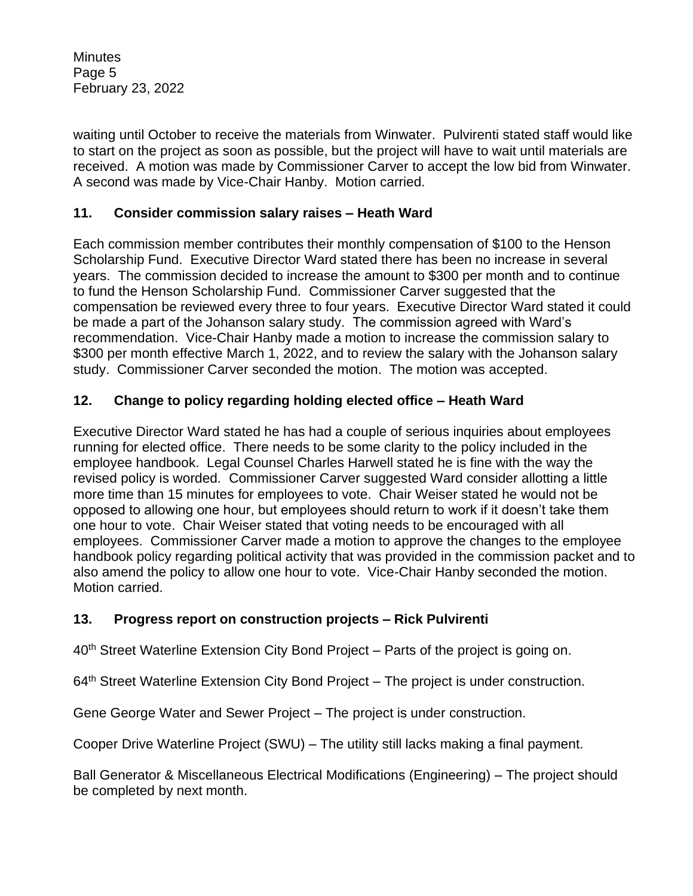**Minutes** Page 5 February 23, 2022

waiting until October to receive the materials from Winwater. Pulvirenti stated staff would like to start on the project as soon as possible, but the project will have to wait until materials are received. A motion was made by Commissioner Carver to accept the low bid from Winwater. A second was made by Vice-Chair Hanby. Motion carried.

### **11. Consider commission salary raises – Heath Ward**

Each commission member contributes their monthly compensation of \$100 to the Henson Scholarship Fund. Executive Director Ward stated there has been no increase in several years. The commission decided to increase the amount to \$300 per month and to continue to fund the Henson Scholarship Fund. Commissioner Carver suggested that the compensation be reviewed every three to four years. Executive Director Ward stated it could be made a part of the Johanson salary study. The commission agreed with Ward's recommendation. Vice-Chair Hanby made a motion to increase the commission salary to \$300 per month effective March 1, 2022, and to review the salary with the Johanson salary study. Commissioner Carver seconded the motion. The motion was accepted.

# **12. Change to policy regarding holding elected office – Heath Ward**

Executive Director Ward stated he has had a couple of serious inquiries about employees running for elected office. There needs to be some clarity to the policy included in the employee handbook. Legal Counsel Charles Harwell stated he is fine with the way the revised policy is worded. Commissioner Carver suggested Ward consider allotting a little more time than 15 minutes for employees to vote. Chair Weiser stated he would not be opposed to allowing one hour, but employees should return to work if it doesn't take them one hour to vote. Chair Weiser stated that voting needs to be encouraged with all employees. Commissioner Carver made a motion to approve the changes to the employee handbook policy regarding political activity that was provided in the commission packet and to also amend the policy to allow one hour to vote. Vice-Chair Hanby seconded the motion. Motion carried.

#### **13. Progress report on construction projects – Rick Pulvirenti**

40<sup>th</sup> Street Waterline Extension City Bond Project – Parts of the project is going on.

 $64<sup>th</sup>$  Street Waterline Extension City Bond Project – The project is under construction.

Gene George Water and Sewer Project – The project is under construction.

Cooper Drive Waterline Project (SWU) – The utility still lacks making a final payment.

Ball Generator & Miscellaneous Electrical Modifications (Engineering) – The project should be completed by next month.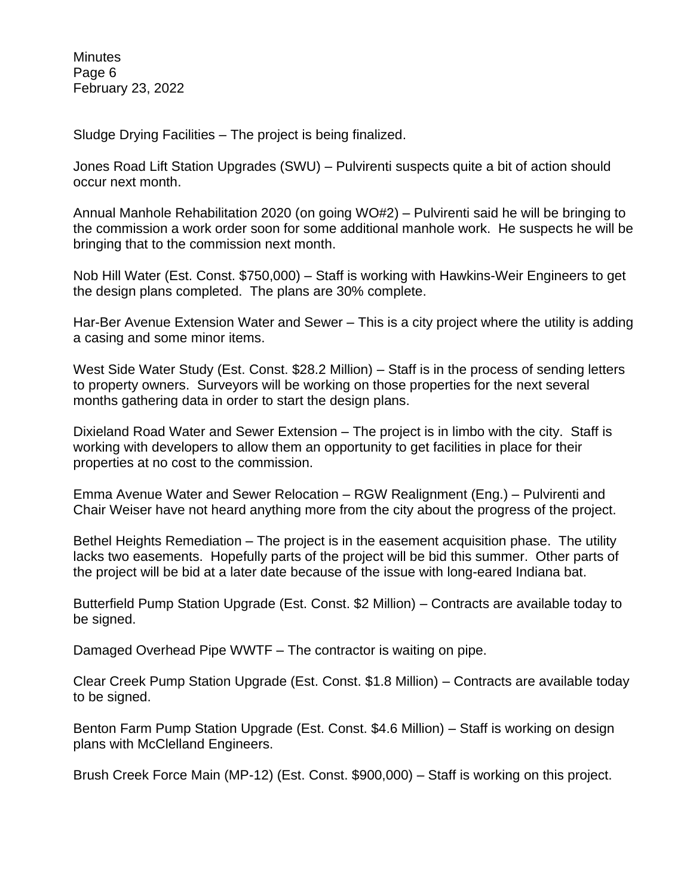**Minutes** Page 6 February 23, 2022

Sludge Drying Facilities – The project is being finalized.

Jones Road Lift Station Upgrades (SWU) – Pulvirenti suspects quite a bit of action should occur next month.

Annual Manhole Rehabilitation 2020 (on going WO#2) – Pulvirenti said he will be bringing to the commission a work order soon for some additional manhole work. He suspects he will be bringing that to the commission next month.

Nob Hill Water (Est. Const. \$750,000) – Staff is working with Hawkins-Weir Engineers to get the design plans completed. The plans are 30% complete.

Har-Ber Avenue Extension Water and Sewer – This is a city project where the utility is adding a casing and some minor items.

West Side Water Study (Est. Const. \$28.2 Million) – Staff is in the process of sending letters to property owners. Surveyors will be working on those properties for the next several months gathering data in order to start the design plans.

Dixieland Road Water and Sewer Extension – The project is in limbo with the city. Staff is working with developers to allow them an opportunity to get facilities in place for their properties at no cost to the commission.

Emma Avenue Water and Sewer Relocation – RGW Realignment (Eng.) – Pulvirenti and Chair Weiser have not heard anything more from the city about the progress of the project.

Bethel Heights Remediation – The project is in the easement acquisition phase. The utility lacks two easements. Hopefully parts of the project will be bid this summer. Other parts of the project will be bid at a later date because of the issue with long-eared Indiana bat.

Butterfield Pump Station Upgrade (Est. Const. \$2 Million) – Contracts are available today to be signed.

Damaged Overhead Pipe WWTF – The contractor is waiting on pipe.

Clear Creek Pump Station Upgrade (Est. Const. \$1.8 Million) – Contracts are available today to be signed.

Benton Farm Pump Station Upgrade (Est. Const. \$4.6 Million) – Staff is working on design plans with McClelland Engineers.

Brush Creek Force Main (MP-12) (Est. Const. \$900,000) – Staff is working on this project.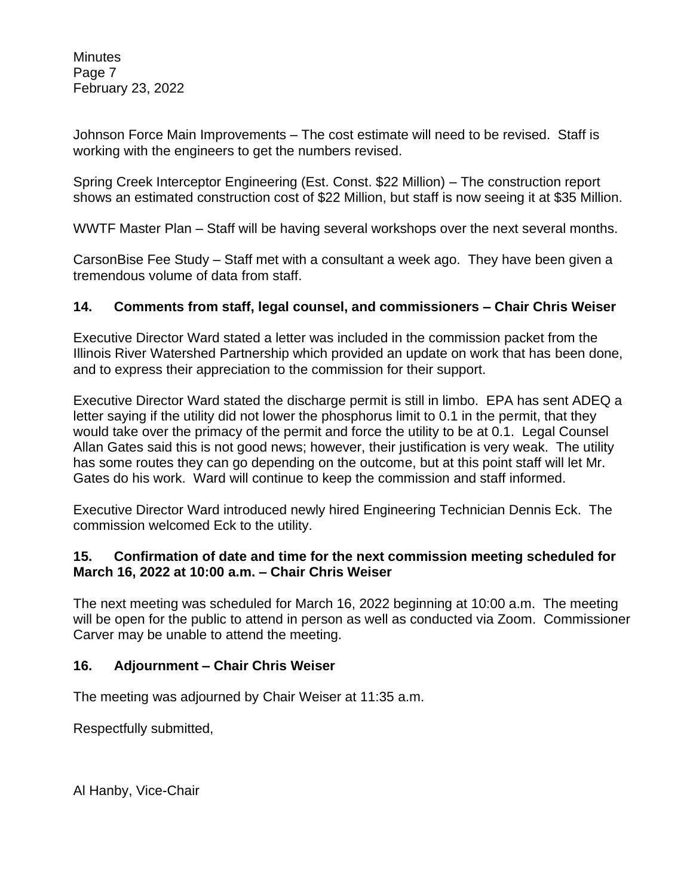**Minutes** Page 7 February 23, 2022

Johnson Force Main Improvements – The cost estimate will need to be revised. Staff is working with the engineers to get the numbers revised.

Spring Creek Interceptor Engineering (Est. Const. \$22 Million) – The construction report shows an estimated construction cost of \$22 Million, but staff is now seeing it at \$35 Million.

WWTF Master Plan – Staff will be having several workshops over the next several months.

CarsonBise Fee Study – Staff met with a consultant a week ago. They have been given a tremendous volume of data from staff.

#### **14. Comments from staff, legal counsel, and commissioners – Chair Chris Weiser**

Executive Director Ward stated a letter was included in the commission packet from the Illinois River Watershed Partnership which provided an update on work that has been done, and to express their appreciation to the commission for their support.

Executive Director Ward stated the discharge permit is still in limbo. EPA has sent ADEQ a letter saying if the utility did not lower the phosphorus limit to 0.1 in the permit, that they would take over the primacy of the permit and force the utility to be at 0.1. Legal Counsel Allan Gates said this is not good news; however, their justification is very weak. The utility has some routes they can go depending on the outcome, but at this point staff will let Mr. Gates do his work. Ward will continue to keep the commission and staff informed.

Executive Director Ward introduced newly hired Engineering Technician Dennis Eck. The commission welcomed Eck to the utility.

#### **15. Confirmation of date and time for the next commission meeting scheduled for March 16, 2022 at 10:00 a.m. – Chair Chris Weiser**

The next meeting was scheduled for March 16, 2022 beginning at 10:00 a.m. The meeting will be open for the public to attend in person as well as conducted via Zoom. Commissioner Carver may be unable to attend the meeting.

#### **16. Adjournment – Chair Chris Weiser**

The meeting was adjourned by Chair Weiser at 11:35 a.m.

Respectfully submitted,

Al Hanby, Vice-Chair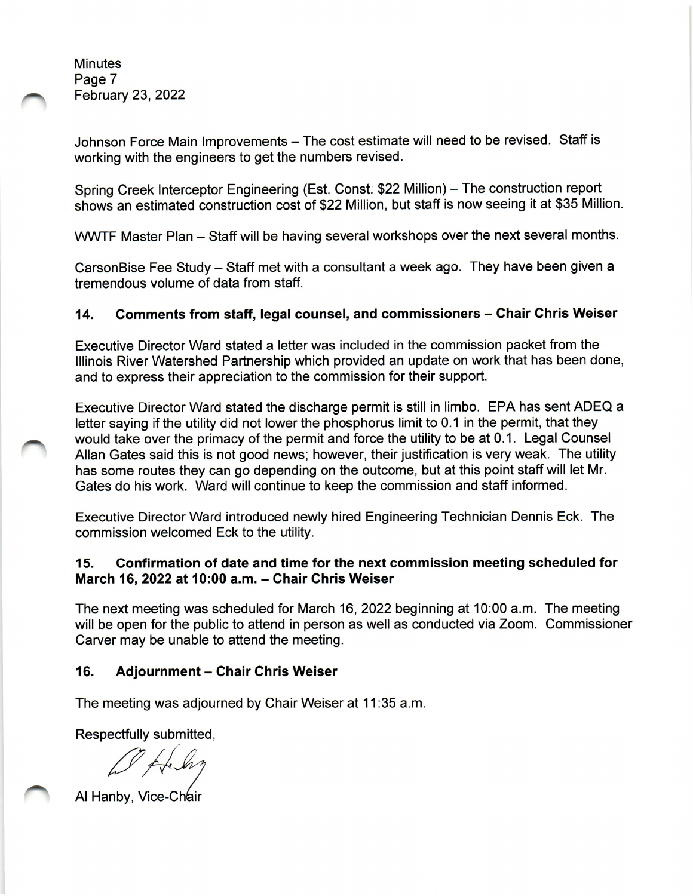**Minutes** Page 7 **February 23, 2022** 

Johnson Force Main Improvements - The cost estimate will need to be revised. Staff is working with the engineers to get the numbers revised.

Spring Creek Interceptor Engineering (Est. Const. \$22 Million) - The construction report shows an estimated construction cost of \$22 Million, but staff is now seeing it at \$35 Million.

WWTF Master Plan - Staff will be having several workshops over the next several months.

CarsonBise Fee Study – Staff met with a consultant a week ago. They have been given a tremendous volume of data from staff.

#### Comments from staff, legal counsel, and commissioners - Chair Chris Weiser 14.

Executive Director Ward stated a letter was included in the commission packet from the Illinois River Watershed Partnership which provided an update on work that has been done, and to express their appreciation to the commission for their support.

Executive Director Ward stated the discharge permit is still in limbo. EPA has sent ADEQ a letter saying if the utility did not lower the phosphorus limit to 0.1 in the permit, that they would take over the primacy of the permit and force the utility to be at 0.1. Legal Counsel Allan Gates said this is not good news; however, their justification is very weak. The utility has some routes they can go depending on the outcome, but at this point staff will let Mr. Gates do his work. Ward will continue to keep the commission and staff informed.

Executive Director Ward introduced newly hired Engineering Technician Dennis Eck. The commission welcomed Eck to the utility.

#### Confirmation of date and time for the next commission meeting scheduled for  $15.$ March 16, 2022 at 10:00 a.m. - Chair Chris Weiser

The next meeting was scheduled for March 16, 2022 beginning at 10:00 a.m. The meeting will be open for the public to attend in person as well as conducted via Zoom. Commissioner Carver may be unable to attend the meeting.

#### 16. **Adjournment - Chair Chris Weiser**

The meeting was adjourned by Chair Weiser at 11:35 a.m.

Respectfully submitted,

Al Hanby, Vice-Chair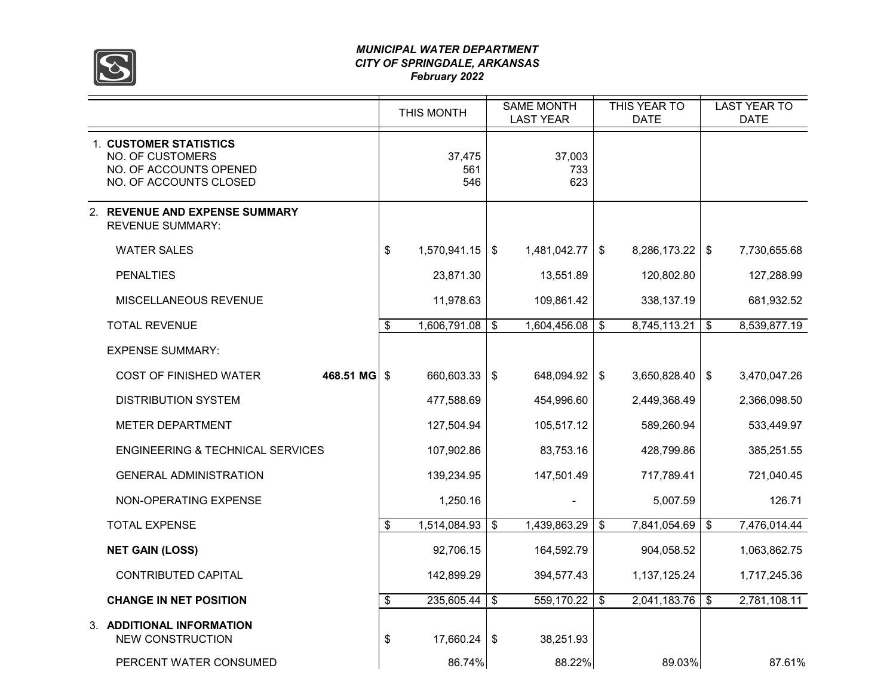

#### *MUNICIPAL WATER DEPARTMENT CITY OF SPRINGDALE, ARKANSAS February 2022*

|                                                                                                | THIS MONTH           | <b>SAME MONTH</b><br><b>LAST YEAR</b> | THIS YEAR TO<br><b>DATE</b> |                         | <b>LAST YEAR TO</b><br><b>DATE</b> |
|------------------------------------------------------------------------------------------------|----------------------|---------------------------------------|-----------------------------|-------------------------|------------------------------------|
| 1. CUSTOMER STATISTICS<br>NO. OF CUSTOMERS<br>NO. OF ACCOUNTS OPENED<br>NO. OF ACCOUNTS CLOSED | 37,475<br>561<br>546 | 37,003<br>733<br>623                  |                             |                         |                                    |
| 2. REVENUE AND EXPENSE SUMMARY<br><b>REVENUE SUMMARY:</b>                                      |                      |                                       |                             |                         |                                    |
| <b>WATER SALES</b>                                                                             | \$<br>1,570,941.15   | \$<br>1,481,042.77                    | \$<br>8,286,173.22          | $\sqrt[6]{3}$           | 7,730,655.68                       |
| <b>PENALTIES</b>                                                                               | 23,871.30            | 13,551.89                             | 120,802.80                  |                         | 127,288.99                         |
| MISCELLANEOUS REVENUE                                                                          | 11,978.63            | 109,861.42                            | 338,137.19                  |                         | 681,932.52                         |
| <b>TOTAL REVENUE</b>                                                                           | \$<br>1,606,791.08   | \$<br>1,604,456.08                    | \$<br>8,745,113.21          | \$                      | 8,539,877.19                       |
| <b>EXPENSE SUMMARY:</b>                                                                        |                      |                                       |                             |                         |                                    |
| 468.51 MG<br><b>COST OF FINISHED WATER</b>                                                     | \$<br>660,603.33     | \$<br>648,094.92                      | \$<br>3,650,828.40          | \$                      | 3,470,047.26                       |
| <b>DISTRIBUTION SYSTEM</b>                                                                     | 477,588.69           | 454,996.60                            | 2,449,368.49                |                         | 2,366,098.50                       |
| <b>METER DEPARTMENT</b>                                                                        | 127,504.94           | 105,517.12                            | 589,260.94                  |                         | 533,449.97                         |
| <b>ENGINEERING &amp; TECHNICAL SERVICES</b>                                                    | 107,902.86           | 83,753.16                             | 428,799.86                  |                         | 385,251.55                         |
| <b>GENERAL ADMINISTRATION</b>                                                                  | 139,234.95           | 147,501.49                            | 717,789.41                  |                         | 721,040.45                         |
| NON-OPERATING EXPENSE                                                                          | 1,250.16             |                                       | 5,007.59                    |                         | 126.71                             |
| <b>TOTAL EXPENSE</b>                                                                           | \$<br>1,514,084.93   | \$<br>1,439,863.29                    | \$<br>7,841,054.69          | $\sqrt[6]{\frac{1}{2}}$ | 7,476,014.44                       |
| <b>NET GAIN (LOSS)</b>                                                                         | 92,706.15            | 164,592.79                            | 904,058.52                  |                         | 1,063,862.75                       |
| CONTRIBUTED CAPITAL                                                                            | 142,899.29           | 394,577.43                            | 1,137,125.24                |                         | 1,717,245.36                       |
| <b>CHANGE IN NET POSITION</b>                                                                  | \$<br>235,605.44     | \$<br>559,170.22                      | \$<br>2,041,183.76          | \$                      | 2,781,108.11                       |
| 3. ADDITIONAL INFORMATION<br><b>NEW CONSTRUCTION</b>                                           | \$<br>17,660.24      | \$<br>38,251.93                       |                             |                         |                                    |
| PERCENT WATER CONSUMED                                                                         | 86.74%               | 88.22%                                | 89.03%                      |                         | 87.61%                             |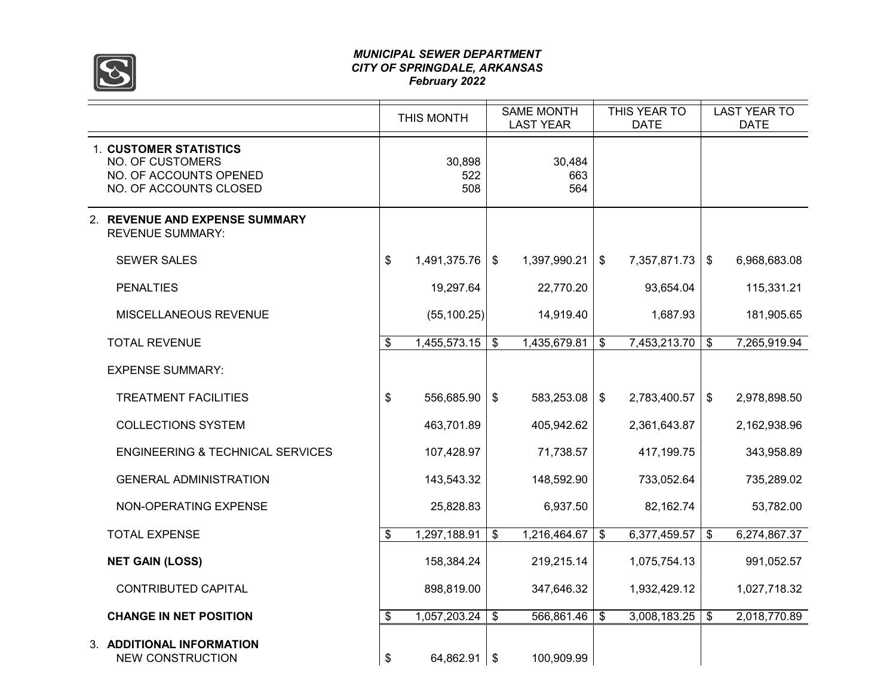

#### *MUNICIPAL SEWER DEPARTMENT CITY OF SPRINGDALE, ARKANSAS February 2022*

|                                                                                                              | THIS MONTH |                      |               | <b>SAME MONTH</b><br><b>LAST YEAR</b> |    | THIS YEAR TO<br><b>DATE</b> |                           | <b>LAST YEAR TO</b><br><b>DATE</b> |  |
|--------------------------------------------------------------------------------------------------------------|------------|----------------------|---------------|---------------------------------------|----|-----------------------------|---------------------------|------------------------------------|--|
| <b>1. CUSTOMER STATISTICS</b><br><b>NO. OF CUSTOMERS</b><br>NO. OF ACCOUNTS OPENED<br>NO. OF ACCOUNTS CLOSED |            | 30,898<br>522<br>508 |               | 30,484<br>663<br>564                  |    |                             |                           |                                    |  |
| 2. REVENUE AND EXPENSE SUMMARY<br><b>REVENUE SUMMARY:</b>                                                    |            |                      |               |                                       |    |                             |                           |                                    |  |
| <b>SEWER SALES</b>                                                                                           | \$         | 1,491,375.76         | $\frac{1}{2}$ | 1,397,990.21                          | \$ | 7,357,871.73                | \$                        | 6,968,683.08                       |  |
| <b>PENALTIES</b>                                                                                             |            | 19,297.64            |               | 22,770.20                             |    | 93,654.04                   |                           | 115,331.21                         |  |
| MISCELLANEOUS REVENUE                                                                                        |            | (55, 100.25)         |               | 14,919.40                             |    | 1,687.93                    |                           | 181,905.65                         |  |
| <b>TOTAL REVENUE</b>                                                                                         | \$         | 1,455,573.15         | \$            | 1,435,679.81                          | \$ | 7,453,213.70                | $\boldsymbol{\mathsf{s}}$ | 7,265,919.94                       |  |
| <b>EXPENSE SUMMARY:</b>                                                                                      |            |                      |               |                                       |    |                             |                           |                                    |  |
| <b>TREATMENT FACILITIES</b>                                                                                  | \$         | 556,685.90           | $\frac{1}{2}$ | 583,253.08                            | \$ | 2,783,400.57                | \$                        | 2,978,898.50                       |  |
| <b>COLLECTIONS SYSTEM</b>                                                                                    |            | 463,701.89           |               | 405,942.62                            |    | 2,361,643.87                |                           | 2,162,938.96                       |  |
| <b>ENGINEERING &amp; TECHNICAL SERVICES</b>                                                                  |            | 107,428.97           |               | 71,738.57                             |    | 417,199.75                  |                           | 343,958.89                         |  |
| <b>GENERAL ADMINISTRATION</b>                                                                                |            | 143,543.32           |               | 148,592.90                            |    | 733,052.64                  |                           | 735,289.02                         |  |
| NON-OPERATING EXPENSE                                                                                        |            | 25,828.83            |               | 6,937.50                              |    | 82,162.74                   |                           | 53,782.00                          |  |
| <b>TOTAL EXPENSE</b>                                                                                         | \$         | 1,297,188.91         | \$            | 1,216,464.67                          | \$ | 6,377,459.57                | $\mathfrak{F}$            | 6,274,867.37                       |  |
| <b>NET GAIN (LOSS)</b>                                                                                       |            | 158,384.24           |               | 219,215.14                            |    | 1,075,754.13                |                           | 991,052.57                         |  |
| <b>CONTRIBUTED CAPITAL</b>                                                                                   |            | 898,819.00           |               | 347,646.32                            |    | 1,932,429.12                |                           | 1,027,718.32                       |  |
| <b>CHANGE IN NET POSITION</b>                                                                                | \$         | 1,057,203.24         | \$            | 566,861.46                            | \$ | $3,008,183.25$ \$           |                           | 2,018,770.89                       |  |
| 3. ADDITIONAL INFORMATION<br><b>NEW CONSTRUCTION</b>                                                         | \$         | $64,862.91$ \\$      |               | 100,909.99                            |    |                             |                           |                                    |  |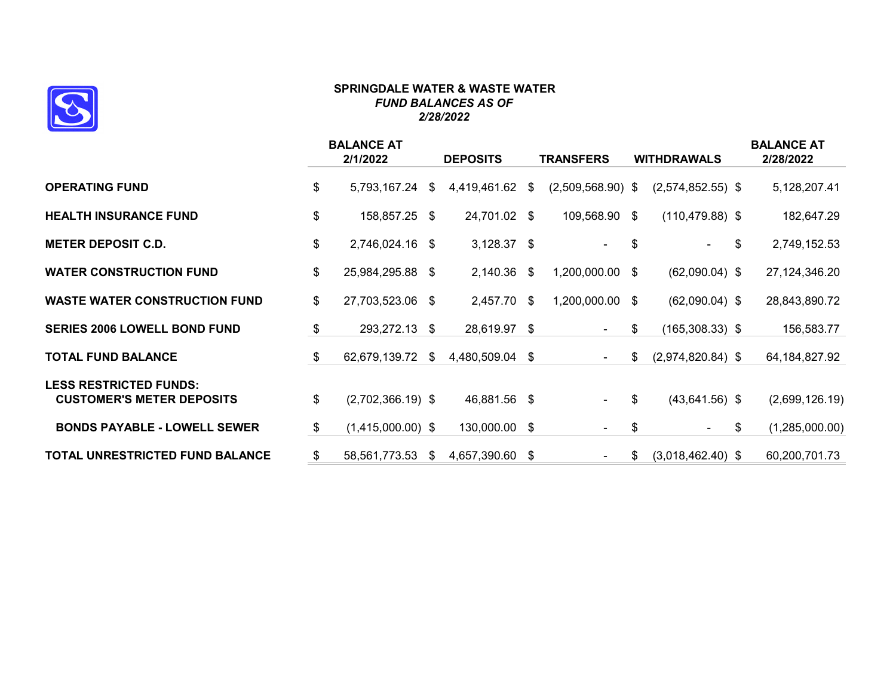

#### **SPRINGDALE WATER & WASTE WATER** *FUND BALANCES AS OF 2/28/2022*

|                                                                   | <b>BALANCE AT</b><br>2/1/2022 | <b>DEPOSITS</b>    |      | <b>TRANSFERS</b>         | <b>WITHDRAWALS</b>        | <b>BALANCE AT</b><br>2/28/2022 |
|-------------------------------------------------------------------|-------------------------------|--------------------|------|--------------------------|---------------------------|--------------------------------|
| <b>OPERATING FUND</b>                                             | \$<br>5,793,167.24            | \$<br>4,419,461.62 | \$   | $(2,509,568.90)$ \$      | $(2,574,852.55)$ \$       | 5,128,207.41                   |
| <b>HEALTH INSURANCE FUND</b>                                      | \$<br>158,857.25 \$           | 24,701.02 \$       |      | 109,568.90 \$            | $(110, 479.88)$ \$        | 182,647.29                     |
| <b>METER DEPOSIT C.D.</b>                                         | \$<br>2,746,024.16 \$         | $3,128.37$ \$      |      |                          | \$<br>$\blacksquare$      | \$<br>2,749,152.53             |
| <b>WATER CONSTRUCTION FUND</b>                                    | \$<br>25,984,295.88 \$        | 2,140.36           | \$   | 1,200,000.00             | \$<br>$(62,090.04)$ \$    | 27, 124, 346. 20               |
| <b>WASTE WATER CONSTRUCTION FUND</b>                              | \$<br>27,703,523.06 \$        | 2,457.70           | -\$  | 1,200,000.00             | \$<br>$(62,090.04)$ \$    | 28,843,890.72                  |
| <b>SERIES 2006 LOWELL BOND FUND</b>                               | \$<br>293,272.13 \$           | 28,619.97 \$       |      | $\overline{\phantom{a}}$ | \$<br>$(165,308.33)$ \$   | 156,583.77                     |
| <b>TOTAL FUND BALANCE</b>                                         | \$<br>62,679,139.72           | \$<br>4,480,509.04 | \$   | $\sim$                   | \$<br>$(2,974,820.84)$ \$ | 64,184,827.92                  |
| <b>LESS RESTRICTED FUNDS:</b><br><b>CUSTOMER'S METER DEPOSITS</b> | \$<br>$(2,702,366.19)$ \$     | 46,881.56 \$       |      | $\overline{\phantom{a}}$ | \$<br>$(43,641.56)$ \$    | (2,699,126.19)                 |
| <b>BONDS PAYABLE - LOWELL SEWER</b>                               | \$<br>$(1,415,000.00)$ \$     | 130,000.00         | -\$  | $\overline{\phantom{0}}$ | \$<br>$\sim$              | \$<br>(1,285,000.00)           |
| <b>TOTAL UNRESTRICTED FUND BALANCE</b>                            | \$<br>58,561,773.53           | \$<br>4,657,390.60 | - \$ | $\overline{\phantom{0}}$ | \$<br>$(3,018,462.40)$ \$ | 60,200,701.73                  |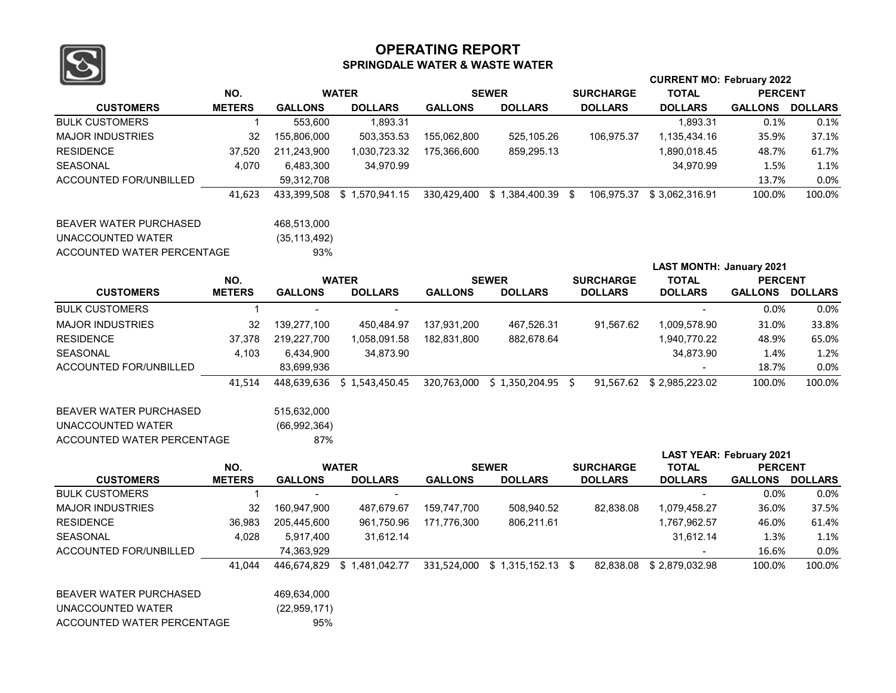

#### **OPERATING REPORT SPRINGDALE WATER & WASTE WATER**

|                               |               |                |                            |                |                                |                  | <b>CURRENT MO: February 2022</b> |                                 |                |  |
|-------------------------------|---------------|----------------|----------------------------|----------------|--------------------------------|------------------|----------------------------------|---------------------------------|----------------|--|
|                               | NO.           |                | <b>WATER</b>               |                | <b>SEWER</b>                   | <b>SURCHARGE</b> | <b>TOTAL</b>                     | <b>PERCENT</b>                  |                |  |
| <b>CUSTOMERS</b>              | <b>METERS</b> | <b>GALLONS</b> | <b>DOLLARS</b>             | <b>GALLONS</b> | <b>DOLLARS</b>                 | <b>DOLLARS</b>   | <b>DOLLARS</b>                   | <b>GALLONS</b>                  | <b>DOLLARS</b> |  |
| <b>BULK CUSTOMERS</b>         | $\mathbf{1}$  | 553,600        | 1,893.31                   |                |                                |                  | 1,893.31                         | 0.1%                            | 0.1%           |  |
| <b>MAJOR INDUSTRIES</b>       | 32            | 155,806,000    | 503,353.53                 | 155,062,800    | 525,105.26                     | 106,975.37       | 1,135,434.16                     | 35.9%                           | 37.1%          |  |
| <b>RESIDENCE</b>              | 37.520        | 211,243,900    | 1,030,723.32               | 175,366,600    | 859,295.13                     |                  | 1,890,018.45                     | 48.7%                           | 61.7%          |  |
| <b>SEASONAL</b>               | 4,070         | 6,483,300      | 34,970.99                  |                |                                |                  | 34,970.99                        | 1.5%                            | 1.1%           |  |
| ACCOUNTED FOR/UNBILLED        |               | 59,312,708     |                            |                |                                |                  |                                  | 13.7%                           | 0.0%           |  |
|                               | 41,623        | 433,399,508    | \$1,570,941.15             |                | 330,429,400 \$ 1,384,400.39 \$ | 106,975.37       | \$3,062,316.91                   | 100.0%                          | 100.0%         |  |
| <b>BEAVER WATER PURCHASED</b> |               | 468,513,000    |                            |                |                                |                  |                                  |                                 |                |  |
| UNACCOUNTED WATER             |               | (35, 113, 492) |                            |                |                                |                  |                                  |                                 |                |  |
| ACCOUNTED WATER PERCENTAGE    |               | 93%            |                            |                |                                |                  |                                  |                                 |                |  |
|                               |               |                |                            |                |                                |                  | <b>LAST MONTH: January 2021</b>  |                                 |                |  |
|                               | NO.           | <b>WATER</b>   |                            |                | <b>SEWER</b>                   | <b>SURCHARGE</b> | <b>TOTAL</b>                     | <b>PERCENT</b>                  |                |  |
| <b>CUSTOMERS</b>              | <b>METERS</b> | <b>GALLONS</b> | <b>DOLLARS</b>             | <b>GALLONS</b> | <b>DOLLARS</b>                 | <b>DOLLARS</b>   | <b>DOLLARS</b>                   | GALLONS DOLLARS                 |                |  |
| <b>BULK CUSTOMERS</b>         | $\mathbf{1}$  | $\blacksquare$ |                            |                |                                |                  |                                  | 0.0%                            | 0.0%           |  |
| <b>MAJOR INDUSTRIES</b>       | 32            | 139,277,100    | 450,484.97                 | 137,931,200    | 467,526.31                     | 91,567.62        | 1,009,578.90                     | 31.0%                           | 33.8%          |  |
| <b>RESIDENCE</b>              | 37,378        | 219,227,700    | 1,058,091.58               | 182,831,800    | 882,678.64                     |                  | 1,940,770.22                     | 48.9%                           | 65.0%          |  |
| <b>SEASONAL</b>               | 4,103         | 6,434,900      | 34,873.90                  |                |                                |                  | 34,873.90                        | 1.4%                            | 1.2%           |  |
| ACCOUNTED FOR/UNBILLED        |               | 83,699,936     |                            |                |                                |                  |                                  | 18.7%                           | 0.0%           |  |
|                               | 41,514        | 448,639,636    | \$1,543,450.45             |                | 320,763,000 \$ 1,350,204.95 \$ |                  | 91,567.62 \$2,985,223.02         | 100.0%                          | 100.0%         |  |
| <b>BEAVER WATER PURCHASED</b> |               | 515,632,000    |                            |                |                                |                  |                                  |                                 |                |  |
| UNACCOUNTED WATER             |               | (66, 992, 364) |                            |                |                                |                  |                                  |                                 |                |  |
| ACCOUNTED WATER PERCENTAGE    |               | 87%            |                            |                |                                |                  |                                  |                                 |                |  |
|                               |               |                |                            |                |                                |                  |                                  | <b>LAST YEAR: February 2021</b> |                |  |
|                               | NO.           |                | <b>WATER</b>               |                | <b>SEWER</b>                   | <b>SURCHARGE</b> | <b>TOTAL</b>                     | <b>PERCENT</b>                  |                |  |
| <b>CUSTOMERS</b>              | <b>METERS</b> | <b>GALLONS</b> | <b>DOLLARS</b>             | <b>GALLONS</b> | <b>DOLLARS</b>                 | <b>DOLLARS</b>   | <b>DOLLARS</b>                   | GALLONS DOLLARS                 |                |  |
| <b>BULK CUSTOMERS</b>         | $\mathbf{1}$  | $\blacksquare$ | $\blacksquare$             |                |                                |                  | $\sim$                           | 0.0%                            | 0.0%           |  |
| <b>MAJOR INDUSTRIES</b>       | 32            | 160,947,900    | 487,679.67                 | 159,747,700    | 508,940.52                     | 82,838.08        | 1,079,458.27                     | 36.0%                           | 37.5%          |  |
| <b>RESIDENCE</b>              | 36,983        | 205,445,600    | 961,750.96                 | 171,776,300    | 806,211.61                     |                  | 1,767,962.57                     | 46.0%                           | 61.4%          |  |
| <b>SEASONAL</b>               | 4,028         | 5,917,400      | 31,612.14                  |                |                                |                  | 31,612.14                        | 1.3%                            | 1.1%           |  |
| <b>ACCOUNTED FOR/UNBILLED</b> |               | 74,363,929     |                            |                |                                |                  |                                  | 16.6%                           | 0.0%           |  |
|                               | 41.044        |                | 446,674,829 \$1,481,042.77 |                | 331,524,000 \$ 1,315,152.13 \$ | 82.838.08        | \$2,879,032.98                   | 100.0%                          | 100.0%         |  |
| <b>BEAVER WATER PURCHASED</b> |               | 469,634,000    |                            |                |                                |                  |                                  |                                 |                |  |
| UNACCOUNTED WATER             |               | (22, 959, 171) |                            |                |                                |                  |                                  |                                 |                |  |
| ACCOUNTED WATER PERCENTAGE    |               | 95%            |                            |                |                                |                  |                                  |                                 |                |  |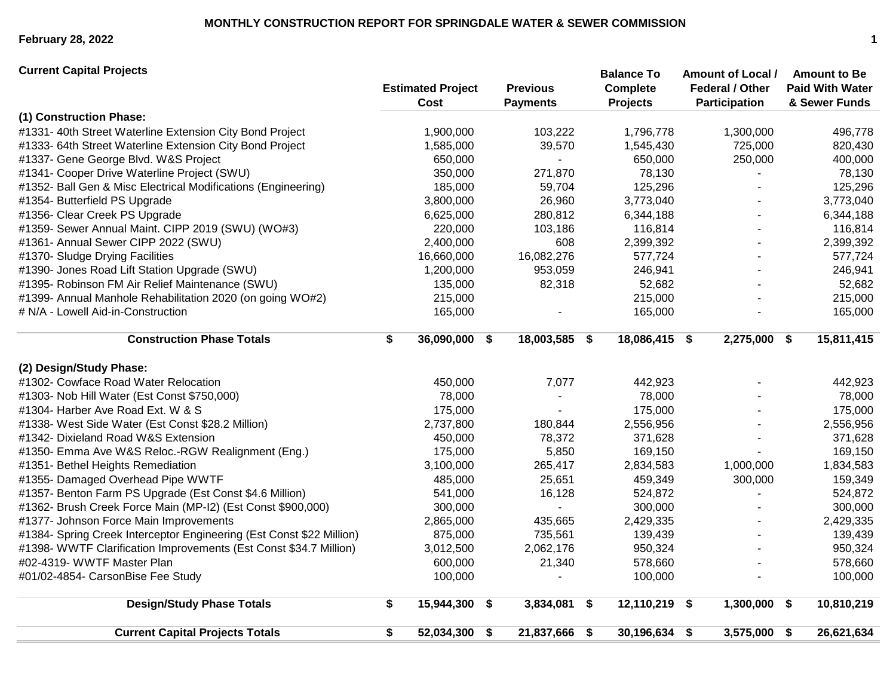**February 28, 2022 1**

**(1) Construction Phase:** #1331- 40th Street Waterline Extension City Bond Project 1,900,000 103,222 1,796,778 1,300,000 496,778 #1333- 64th Street Waterline Extension City Bond Project 1,585,000 39,570 1,545,430 725,000 820,430 #1337- Gene George Blvd. W&S Project 650,000 - 650,000 250,000 400,000 #1341- Cooper Drive Waterline Project (SWU) 350,000 271,870 78,130 - 78,130 #1352- Ball Gen & Misc Electrical Modifications (Engineering) 185,000 59,704 125,296 - 125,296 #1354- Butterfield PS Upgrade 3,800,000 26,960 3,773,040 - 3,773,040 #1356- Clear Creek PS Upgrade 6,625,000 280,812 6,344,188 - 6,344,188 #1359- Sewer Annual Maint. CIPP 2019 (SWU) (WO#3) 220,000 103,186 116,814 - 116,814 #1361- Annual Sewer CIPP 2022 (SWU) 2,400,000 608 2,399,392 - 2,399,392 #1370- Sludge Drying Facilities 16,660,000 16,082,276 577,724 - 577,724 #1390- Jones Road Lift Station Upgrade (SWU) 1,200,000 953,059 246,941 - 246,941 #1395- Robinson FM Air Relief Maintenance (SWU) 135,000 82,318 52,682 - 52,682 #1399- Annual Manhole Rehabilitation 2020 (on going WO#2) 215,000 215,000 - 215,000 # N/A - Lowell Aid-in-Construction 165,000 - 165,000 - 165,000 **Construction Phase Totals \$ 36,090,000 \$ 18,003,585 \$ 18,086,415 \$ 2,275,000 \$ 15,811,415 (2) Design/Study Phase:** #1302- Cowface Road Water Relocation 450,000 7,077 442,923 - 442,923 #1303- Nob Hill Water (Est Const \$750,000) 78,000 - 78,000 - 78,000 #1304- Harber Ave Road Ext. W & S 175,000 - 175,000 - 175,000 #1338- West Side Water (Est Const \$28.2 Million) 2,737,800 180,844 2,556,956 - 2,556,956 #1342- Dixieland Road W&S Extension 450,000 78,372 371,628 - 371,628 #1350- Emma Ave W&S Reloc.-RGW Realignment (Eng.) 175,000 5,850 169,150 - 169,150 #1351- Bethel Heights Remediation 3,100,000 265,417 2,834,583 1,000,000 1,834,583 #1355- Damaged Overhead Pipe WWTF 485,000 25,651 459,349 300,000 159,349 #1357- Benton Farm PS Upgrade (Est Const \$4.6 Million) 541,000 16,128 524,872 - 524,872 #1362- Brush Creek Force Main (MP-I2) (Est Const \$900,000) 300,000 - 300,000 - 300,000 #1377- Johnson Force Main Improvements 2,865,000 435,665 2,429,335 - 2,429,335 #1384- Spring Creek Interceptor Engineering (Est Const \$22 Million) 875,000 735,561 139,439 - 139,439 #1398- WWTF Clarification Improvements (Est Const \$34.7 Million) 3,012,500 2,062,176 950,324 - 950,324 #02-4319- WWTF Master Plan 600,000 21,340 578,660 - 578,660 #01/02-4854- CarsonBise Fee Study 100,000 - 100,000 - 100,000 **Design/Study Phase Totals \$ 15,944,300 \$ 3,834,081 \$ 12,110,219 \$ 1,300,000 \$ 10,810,219 Current Capital Projects Totals \$ 52,034,300 \$ 21,837,666 \$ 30,196,634 \$ 3,575,000 \$ 26,621,634 Previous Payments Balance To Complete Projects Amount of Local / Federal / Other Participation Amount to Be Paid With Water & Sewer Funds Current Capital Projects Estimated Project Cost**